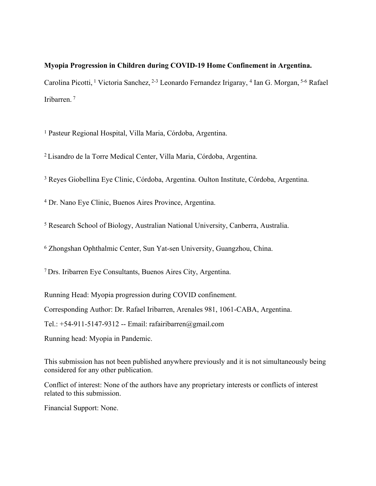## **Myopia Progression in Children during COVID-19 Home Confinement in Argentina.** Carolina Picotti, <sup>1</sup> Victoria Sanchez, <sup>2-3</sup> Leonardo Fernandez Irigaray, <sup>4</sup> Ian G. Morgan, <sup>5-6</sup> Rafael

<sup>1</sup> Pasteur Regional Hospital, Villa Maria, Córdoba, Argentina.

Iribarren.<sup>7</sup>

<sup>2</sup>Lisandro de la Torre Medical Center, Villa Maria, Córdoba, Argentina.

3 Reyes Giobellina Eye Clinic, Córdoba, Argentina. Oulton Institute, Córdoba, Argentina.

4 Dr. Nano Eye Clinic, Buenos Aires Province, Argentina.

<sup>5</sup> Research School of Biology, Australian National University, Canberra, Australia.

6 Zhongshan Ophthalmic Center, Sun Yat-sen University, Guangzhou, China.

<sup>7</sup>Drs. Iribarren Eye Consultants, Buenos Aires City, Argentina.

Running Head: Myopia progression during COVID confinement.

Corresponding Author: Dr. Rafael Iribarren, Arenales 981, 1061-CABA, Argentina.

Tel.: +54-911-5147-9312 -- Email: rafairibarren@gmail.com

Running head: Myopia in Pandemic.

This submission has not been published anywhere previously and it is not simultaneously being considered for any other publication.

Conflict of interest: None of the authors have any proprietary interests or conflicts of interest related to this submission.

Financial Support: None.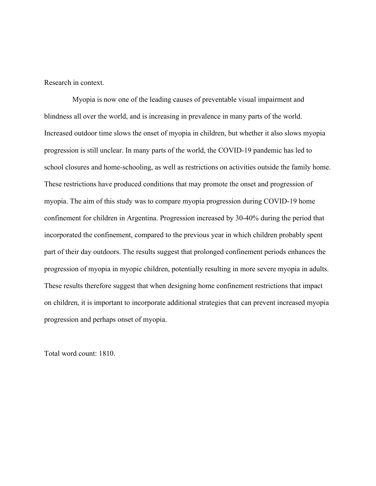Research in context.

Myopia is now one of the leading causes of preventable visual impairment and blindness all over the world, and is increasing in prevalence in many parts of the world. Increased outdoor time slows the onset of myopia in children, but whether it also slows myopia progression is still unclear. In many parts of the world, the COVID-19 pandemic has led to school closures and home-schooling, as well as restrictions on activities outside the family home. These restrictions have produced conditions that may promote the onset and progression of myopia. The aim of this study was to compare myopia progression during COVID-19 home confinement for children in Argentina. Progression increased by 30-40% during the period that incorporated the confinement, compared to the previous year in which children probably spent part of their day outdoors. The results suggest that prolonged confinement periods enhances the progression of myopia in myopic children, potentially resulting in more severe myopia in adults. These results therefore suggest that when designing home confinement restrictions that impact on children, it is important to incorporate additional strategies that can prevent increased myopia progression and perhaps onset of myopia.

Total word count: 1810.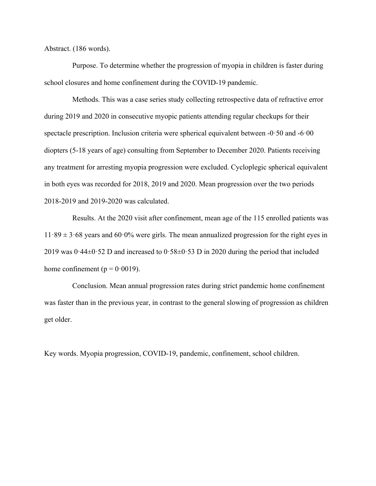Abstract. (186 words).

Purpose. To determine whether the progression of myopia in children is faster during school closures and home confinement during the COVID-19 pandemic.

Methods. This was a case series study collecting retrospective data of refractive error during 2019 and 2020 in consecutive myopic patients attending regular checkups for their spectacle prescription. Inclusion criteria were spherical equivalent between -0·50 and -6·00 diopters (5-18 years of age) consulting from September to December 2020. Patients receiving any treatment for arresting myopia progression were excluded. Cycloplegic spherical equivalent in both eyes was recorded for 2018, 2019 and 2020. Mean progression over the two periods 2018-2019 and 2019-2020 was calculated.

Results. At the 2020 visit after confinement, mean age of the 115 enrolled patients was  $11·89 \pm 3·68$  years and 60·0% were girls. The mean annualized progression for the right eyes in 2019 was  $0.44\pm0.52$  D and increased to  $0.58\pm0.53$  D in 2020 during the period that included home confinement ( $p = 0.0019$ ).

Conclusion. Mean annual progression rates during strict pandemic home confinement was faster than in the previous year, in contrast to the general slowing of progression as children get older.

Key words. Myopia progression, COVID-19, pandemic, confinement, school children.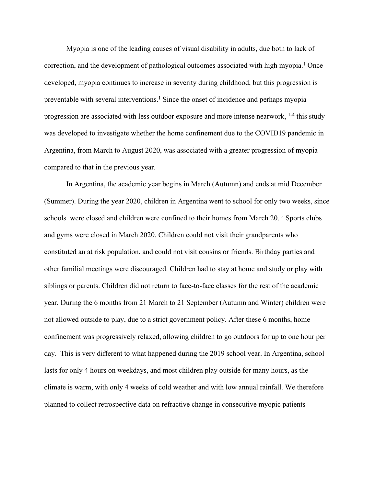Myopia is one of the leading causes of visual disability in adults, due both to lack of correction, and the development of pathological outcomes associated with high myopia.<sup>[1](#page-11-0)</sup> Once developed, myopia continues to increase in severity during childhood, but this progression is preventable with several interventions.<sup>[1](#page-11-0)</sup> Since the onset of incidence and perhaps myopia progression are associated with less outdoor exposure and more intense nearwork, [1-4](#page-11-0) this study was developed to investigate whether the home confinement due to the COVID19 pandemic in Argentina, from March to August 2020, was associated with a greater progression of myopia compared to that in the previous year.

In Argentina, the academic year begins in March (Autumn) and ends at mid December (Summer). During the year 2020, children in Argentina went to school for only two weeks, since schools were closed and children were confined to their homes from March 20.<sup>[5](#page-11-1)</sup> Sports clubs and gyms were closed in March 2020. Children could not visit their grandparents who constituted an at risk population, and could not visit cousins or friends. Birthday parties and other familial meetings were discouraged. Children had to stay at home and study or play with siblings or parents. Children did not return to face-to-face classes for the rest of the academic year. During the 6 months from 21 March to 21 September (Autumn and Winter) children were not allowed outside to play, due to a strict government policy. After these 6 months, home confinement was progressively relaxed, allowing children to go outdoors for up to one hour per day. This is very different to what happened during the 2019 school year. In Argentina, school lasts for only 4 hours on weekdays, and most children play outside for many hours, as the climate is warm, with only 4 weeks of cold weather and with low annual rainfall. We therefore planned to collect retrospective data on refractive change in consecutive myopic patients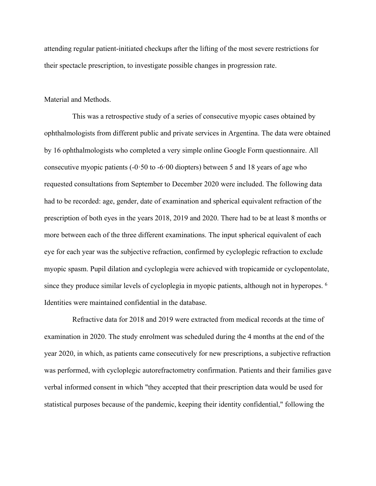attending regular patient-initiated checkups after the lifting of the most severe restrictions for their spectacle prescription, to investigate possible changes in progression rate.

## Material and Methods.

This was a retrospective study of a series of consecutive myopic cases obtained by ophthalmologists from different public and private services in Argentina. The data were obtained by 16 ophthalmologists who completed a very simple online Google Form questionnaire. All consecutive myopic patients  $(-0.50 \text{ to } -6.00 \text{ diopters})$  between 5 and 18 years of age who requested consultations from September to December 2020 were included. The following data had to be recorded: age, gender, date of examination and spherical equivalent refraction of the prescription of both eyes in the years 2018, 2019 and 2020. There had to be at least 8 months or more between each of the three different examinations. The input spherical equivalent of each eye for each year was the subjective refraction, confirmed by cycloplegic refraction to exclude myopic spasm. Pupil dilation and cycloplegia were achieved with tropicamide or cyclopentolate, since they produce similar levels of cycloplegia in myopic patients, although not in hyperopes. <sup>[6](#page-11-2)</sup> Identities were maintained confidential in the database.

Refractive data for 2018 and 2019 were extracted from medical records at the time of examination in 2020. The study enrolment was scheduled during the 4 months at the end of the year 2020, in which, as patients came consecutively for new prescriptions, a subjective refraction was performed, with cycloplegic autorefractometry confirmation. Patients and their families gave verbal informed consent in which "they accepted that their prescription data would be used for statistical purposes because of the pandemic, keeping their identity confidential," following the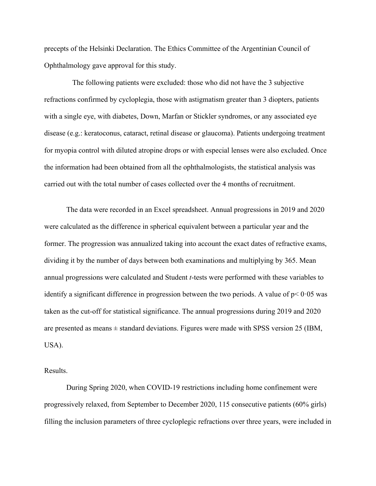precepts of the Helsinki Declaration. The Ethics Committee of the Argentinian Council of Ophthalmology gave approval for this study.

The following patients were excluded: those who did not have the 3 subjective refractions confirmed by cycloplegia, those with astigmatism greater than 3 diopters, patients with a single eye, with diabetes, Down, Marfan or Stickler syndromes, or any associated eye disease (e.g.: keratoconus, cataract, retinal disease or glaucoma). Patients undergoing treatment for myopia control with diluted atropine drops or with especial lenses were also excluded. Once the information had been obtained from all the ophthalmologists, the statistical analysis was carried out with the total number of cases collected over the 4 months of recruitment.

The data were recorded in an Excel spreadsheet. Annual progressions in 2019 and 2020 were calculated as the difference in spherical equivalent between a particular year and the former. The progression was annualized taking into account the exact dates of refractive exams, dividing it by the number of days between both examinations and multiplying by 365. Mean annual progressions were calculated and Student *t*-tests were performed with these variables to identify a significant difference in progression between the two periods. A value of  $p < 0.05$  was taken as the cut-off for statistical significance. The annual progressions during 2019 and 2020 are presented as means  $\pm$  standard deviations. Figures were made with SPSS version 25 (IBM, USA).

Results.

During Spring 2020, when COVID-19 restrictions including home confinement were progressively relaxed, from September to December 2020, 115 consecutive patients (60% girls) filling the inclusion parameters of three cycloplegic refractions over three years, were included in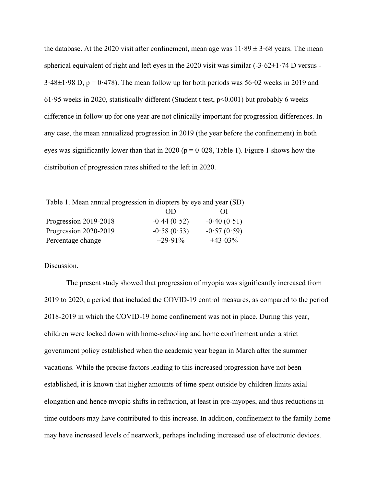the database. At the 2020 visit after confinement, mean age was  $11.89 \pm 3.68$  years. The mean spherical equivalent of right and left eyes in the 2020 visit was similar  $(-3.62 \pm 1.74$  D versus - $3.48\pm1.98$  D, p = 0.478). The mean follow up for both periods was 56.02 weeks in 2019 and 61.95 weeks in 2020, statistically different (Student t test,  $p<0.001$ ) but probably 6 weeks difference in follow up for one year are not clinically important for progression differences. In any case, the mean annualized progression in 2019 (the year before the confinement) in both eyes was significantly lower than that in 2020 ( $p = 0.028$ , Table 1). Figure 1 shows how the distribution of progression rates shifted to the left in 2020.

| Table 1. Mean annual progression in diopters by eye and year (SD) |               |               |
|-------------------------------------------------------------------|---------------|---------------|
|                                                                   | OD            | 01            |
| Progression 2019-2018                                             | $-0.44(0.52)$ | $-0.40(0.51)$ |
| Progression 2020-2019                                             | $-0.58(0.53)$ | $-0.57(0.59)$ |
| Percentage change                                                 | $+29.91\%$    | $+43.03\%$    |

Discussion.

The present study showed that progression of myopia was significantly increased from 2019 to 2020, a period that included the COVID-19 control measures, as compared to the period 2018-2019 in which the COVID-19 home confinement was not in place. During this year, children were locked down with home-schooling and home confinement under a strict government policy established when the academic year began in March after the summer vacations. While the precise factors leading to this increased progression have not been established, it is known that higher amounts of time spent outside by children limits axial elongation and hence myopic shifts in refraction, at least in pre-myopes, and thus reductions in time outdoors may have contributed to this increase. In addition, confinement to the family home may have increased levels of nearwork, perhaps including increased use of electronic devices.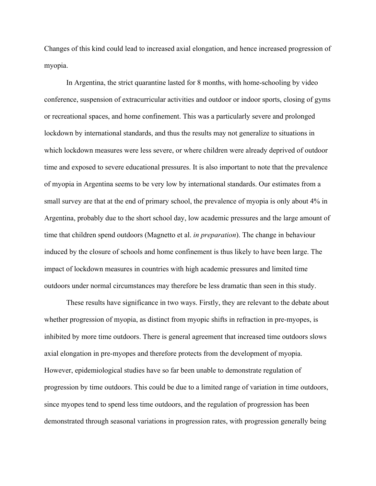Changes of this kind could lead to increased axial elongation, and hence increased progression of myopia.

In Argentina, the strict quarantine lasted for 8 months, with home-schooling by video conference, suspension of extracurricular activities and outdoor or indoor sports, closing of gyms or recreational spaces, and home confinement. This was a particularly severe and prolonged lockdown by international standards, and thus the results may not generalize to situations in which lockdown measures were less severe, or where children were already deprived of outdoor time and exposed to severe educational pressures. It is also important to note that the prevalence of myopia in Argentina seems to be very low by international standards. Our estimates from a small survey are that at the end of primary school, the prevalence of myopia is only about 4% in Argentina, probably due to the short school day, low academic pressures and the large amount of time that children spend outdoors (Magnetto et al. *in preparation*). The change in behaviour induced by the closure of schools and home confinement is thus likely to have been large. The impact of lockdown measures in countries with high academic pressures and limited time outdoors under normal circumstances may therefore be less dramatic than seen in this study.

These results have significance in two ways. Firstly, they are relevant to the debate about whether progression of myopia, as distinct from myopic shifts in refraction in pre-myopes, is inhibited by more time outdoors. There is general agreement that increased time outdoors slows axial elongation in pre-myopes and therefore protects from the development of myopia. However, epidemiological studies have so far been unable to demonstrate regulation of progression by time outdoors. This could be due to a limited range of variation in time outdoors, since myopes tend to spend less time outdoors, and the regulation of progression has been demonstrated through seasonal variations in progression rates, with progression generally being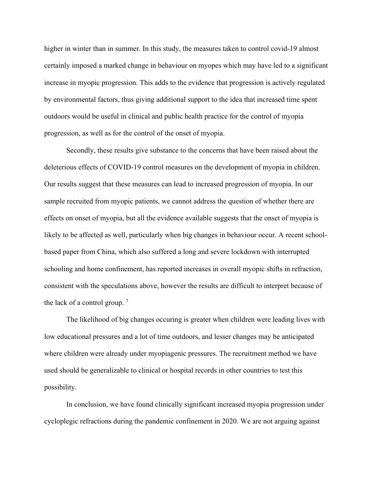higher in winter than in summer. In this study, the measures taken to control covid-19 almost certainly imposed a marked change in behaviour on myopes which may have led to a significant increase in myopic progression. This adds to the evidence that progression is actively regulated by environmental factors, thus giving additional support to the idea that increased time spent outdoors would be useful in clinical and public health practice for the control of myopia progression, as well as for the control of the onset of myopia.

Secondly, these results give substance to the concerns that have been raised about the deleterious effects of COVID-19 control measures on the development of myopia in children. Our results suggest that these measures can lead to increased progression of myopia. In our sample recruited from myopic patients, we cannot address the question of whether there are effects on onset of myopia, but all the evidence available suggests that the onset of myopia is likely to be affected as well, particularly when big changes in behaviour occur. A recent schoolbased paper from China, which also suffered a long and severe lockdown with interrupted schooling and home confinement, has reported increases in overall myopic shifts in refraction, consistent with the speculations above, however the results are difficult to interpret because of the lack of a control group. [7](#page-11-3)

The likelihood of big changes occuring is greater when children were leading lives with low educational pressures and a lot of time outdoors, and lesser changes may be anticipated where children were already under myopiagenic pressures. The recruitment method we have used should be generalizable to clinical or hospital records in other countries to test this possibility.

In conclusion, we have found clinically significant increased myopia progression under cycloplegic refractions during the pandemic confinement in 2020. We are not arguing against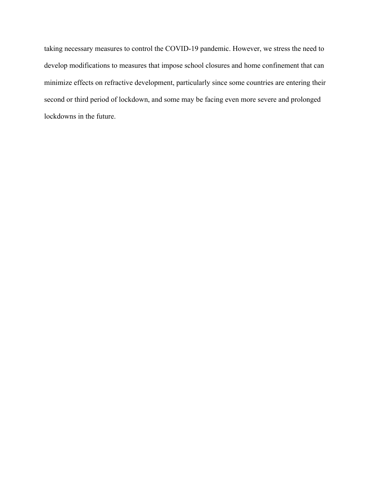taking necessary measures to control the COVID-19 pandemic. However, we stress the need to develop modifications to measures that impose school closures and home confinement that can minimize effects on refractive development, particularly since some countries are entering their second or third period of lockdown, and some may be facing even more severe and prolonged lockdowns in the future.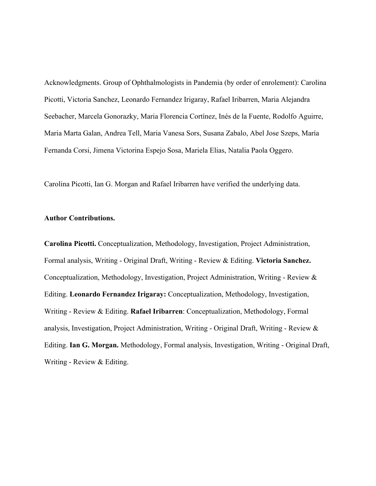Acknowledgments. Group of Ophthalmologists in Pandemia (by order of enrolement): Carolina Picotti, Victoria Sanchez, Leonardo Fernandez Irigaray, Rafael Iribarren, Maria Alejandra Seebacher, Marcela Gonorazky, Maria Florencia Cortínez, Inés de la Fuente, Rodolfo Aguirre, Maria Marta Galan, Andrea Tell, Maria Vanesa Sors, Susana Zabalo, Abel Jose Szeps, María Fernanda Corsi, Jimena Victorina Espejo Sosa, Mariela Elias, Natalia Paola Oggero.

Carolina Picotti, Ian G. Morgan and Rafael Iribarren have verified the underlying data.

## **Author Contributions.**

**Carolina Picotti.** Conceptualization, Methodology, Investigation, Project Administration, Formal analysis, Writing - Original Draft, Writing - Review & Editing. **Victoria Sanchez.**  Conceptualization, Methodology, Investigation, Project Administration, Writing - Review & Editing. **Leonardo Fernandez Irigaray:** Conceptualization, Methodology, Investigation, Writing - Review & Editing. **Rafael Iribarren**: Conceptualization, Methodology, Formal analysis, Investigation, Project Administration, Writing - Original Draft, Writing - Review & Editing. **Ian G. Morgan.** Methodology, Formal analysis, Investigation, Writing - Original Draft, Writing - Review & Editing.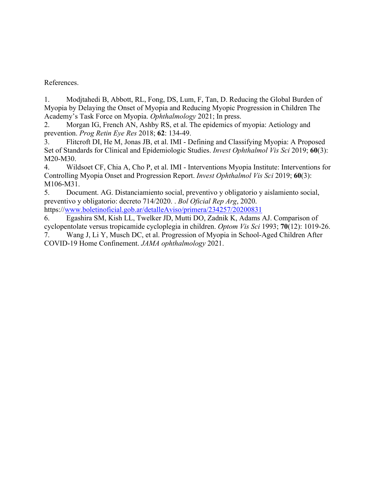References.

<span id="page-11-0"></span>1. Modjtahedi B, Abbott, RL, Fong, DS, Lum, F, Tan, D. Reducing the Global Burden of Myopia by Delaying the Onset of Myopia and Reducing Myopic Progression in Children The Academy's Task Force on Myopia. *Ophthalmology* 2021; In press.

2. Morgan IG, French AN, Ashby RS, et al. The epidemics of myopia: Aetiology and prevention. *Prog Retin Eye Res* 2018; **62**: 134-49.

3. Flitcroft DI, He M, Jonas JB, et al. IMI - Defining and Classifying Myopia: A Proposed Set of Standards for Clinical and Epidemiologic Studies. *Invest Ophthalmol Vis Sci* 2019; **60**(3): M20-M30.

4. Wildsoet CF, Chia A, Cho P, et al. IMI - Interventions Myopia Institute: Interventions for Controlling Myopia Onset and Progression Report. *Invest Ophthalmol Vis Sci* 2019; **60**(3): M106-M31.

<span id="page-11-1"></span>5. Document. AG. Distanciamiento social, preventivo y obligatorio y aislamiento social, preventivo y obligatorio: decreto 714/2020. . *Bol Oficial Rep Arg*, 2020. https:/[/www.boletinoficial.gob.ar/detalleAviso/primera/234257/20200831](http://www.boletinoficial.gob.ar/detalleAviso/primera/234257/20200831)

<span id="page-11-2"></span>6. Egashira SM, Kish LL, Twelker JD, Mutti DO, Zadnik K, Adams AJ. Comparison of cyclopentolate versus tropicamide cycloplegia in children. *Optom Vis Sci* 1993; **70**(12): 1019-26.

<span id="page-11-3"></span>7. Wang J, Li Y, Musch DC, et al. Progression of Myopia in School-Aged Children After COVID-19 Home Confinement. *JAMA ophthalmology* 2021.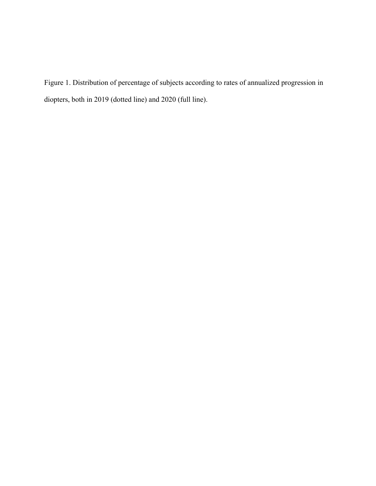Figure 1. Distribution of percentage of subjects according to rates of annualized progression in diopters, both in 2019 (dotted line) and 2020 (full line).